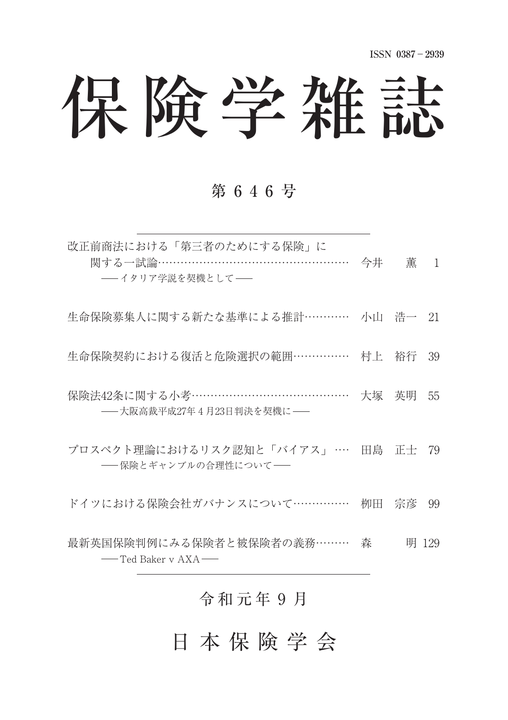# 保険学雑誌

#### 第 6 4 6 号

| 改正前商法における「第三者のためにする保険」に<br>関する一試論…………………………………………… 今井   薫   1<br>-- イタリア学説を契機として- |          |  |
|-----------------------------------------------------------------------------------|----------|--|
| 生命保険募集人に関する新たな基準による推計………… 小山 浩一 21                                                |          |  |
| 生命保険契約における復活と危険選択の範囲…………… 村上 裕行 39                                                |          |  |
| 保険法42条に関する小考……………………………………<br>-- 大阪高裁平成27年4月23日判決を契機に-                            | 大塚 英明 55 |  |
| プロスペクト理論におけるリスク認知と「バイアス」… 田島 正士 79                                                |          |  |

ドイツにおける保険会社ガバナンスについて…………… 栁田 宗彦 99

- 保険とギャンブルの合理性について–

最新英国保険判例にみる保険者と被保険者の義務 ……… 森 明 129 -Ted Baker v AXA

### 令和元年9月

日 本 保 険 学 会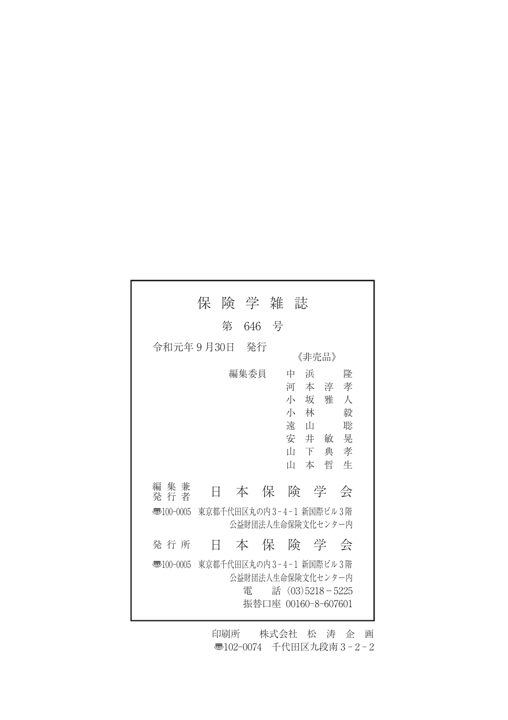| 険学雑誌<br>保                                                                                                                           |
|-------------------------------------------------------------------------------------------------------------------------------------|
| 第<br>646 号                                                                                                                          |
| 令和元年9月30日<br>- 発行<br>《非壳品》                                                                                                          |
| 編集委員<br>浜<br>中<br>隆<br>孝<br>河<br>あんしゃ 本の淳 いんじょう こうしょう<br>小坂雅<br>$\lambda$<br>毅<br>小<br>林<br>遠<br>聡<br>் ய<br>安 井 敏<br>晃<br>Ш<br>下典孝 |
| 本哲<br>Ш<br>牛                                                                                                                        |
| 編集兼<br>本 保 険 学<br>Ħ<br>会<br>発 行 者                                                                                                   |
| 東京都千代田区丸の内3-4-1 新国際ビル3階<br>$\overline{3}100-0005$<br>公益財団法人生命保険文化センター内                                                              |
| 本保険学会<br>発 行 所<br>Ħ                                                                                                                 |
| - 東京都千代田区丸の内3-4-1 新国際ビル3階<br>$\overline{3}100-0005$<br>公益財団法人生命保険文化センター内<br>話 $(03)5218 - 5225$<br>雷<br>振替口座 00160-8-607601         |

印刷所 株式会社 松 涛 企 画 〠102-0074 千代田区九段南 3 - 2 - 2